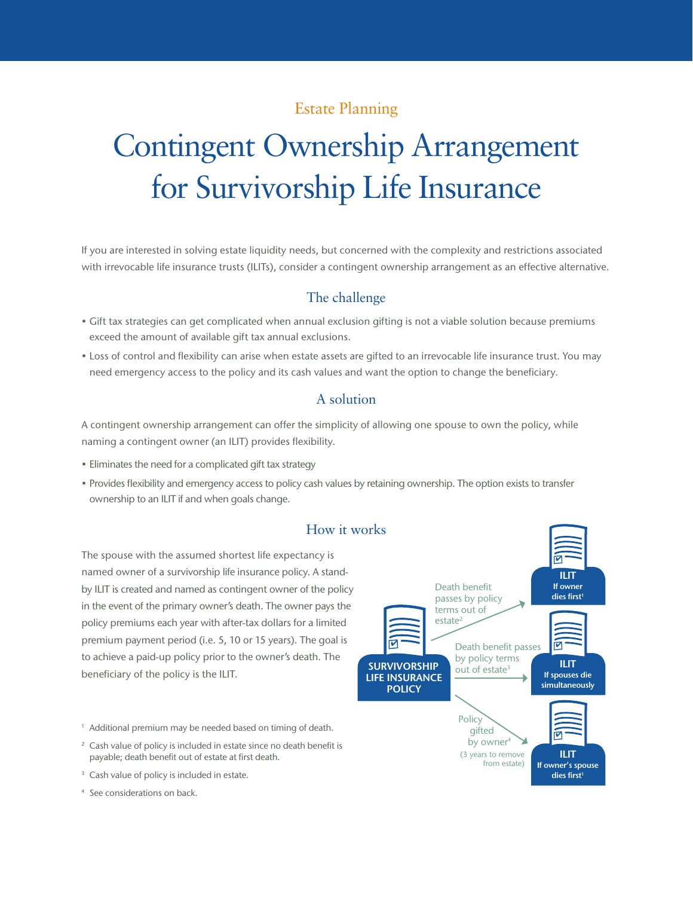## Estate Planning

# Contingent Ownership Arrangement for Survivorship Life Insurance

If you are interested in solving estate liquidity needs, but concerned with the complexity and restrictions associated with irrevocable life insurance trusts (ILITs), consider a contingent ownership arrangement as an effective alternative.

## The challenge

- • Gift tax strategies can get complicated when annual exclusion gifting is not a viable solution because premiums exceed the amount of available gift tax annual exclusions.
- • Loss of control and flexibility can arise when estate assets are gifted to an irrevocable life insurance trust. You may need emergency access to the policy and its cash values and want the option to change the beneficiary.

#### A solution

A contingent ownership arrangement can offer the simplicity of allowing one spouse to own the policy, while naming a contingent owner (an ILIT) provides flexibility.

- Eliminates the need for a complicated gift tax strategy
- • Provides flexibility and emergency access to policy cash values by retaining ownership. The option exists to transfer ownership to an ILIT if and when goals change.



The spouse with the assumed shortest life expectancy is named owner of a survivorship life insurance policy. A standby ILIT is created and named as contingent owner of the policy in the event of the primary owner's death. The owner pays the policy premiums each year with after-tax dollars for a limited premium payment period (i.e. 5, 10 or 15 years). The goal is to achieve a paid-up policy prior to the owner's death. The

<sup>1</sup> Additional premium may be needed based on timing of death.

- <sup>2</sup> Cash value of policy is included in estate since no death benefit is payable; death benefit out of estate at first death.
- <sup>3</sup> Cash value of policy is included in estate.

beneficiary of the policy is the ILIT.

<sup>4</sup> See considerations on back.